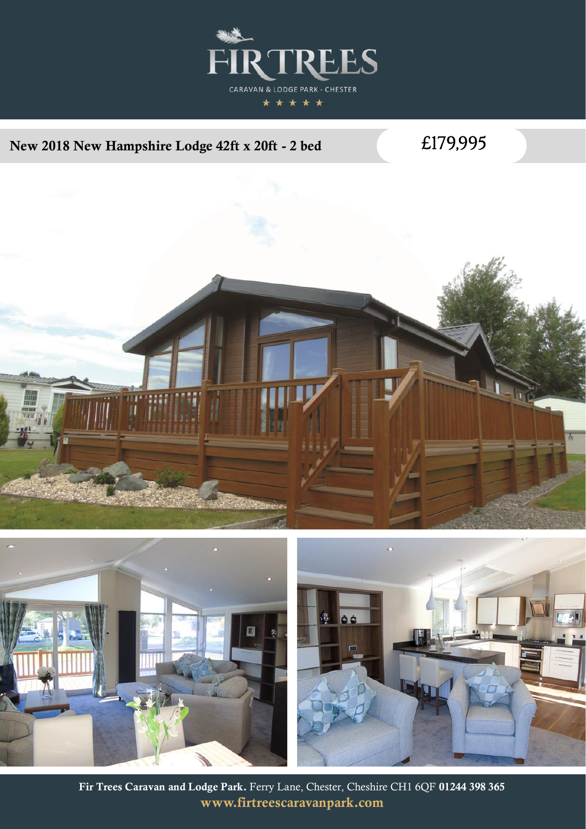

## New 2018 New Hampshire Lodge 42ft x 20ft - 2 bed

£179,995



Fir Trees Caravan and Lodge Park. Ferry Lane, Chester, Cheshire CH1 6QF 01244 398 365 www.firtreescaravanpark.com